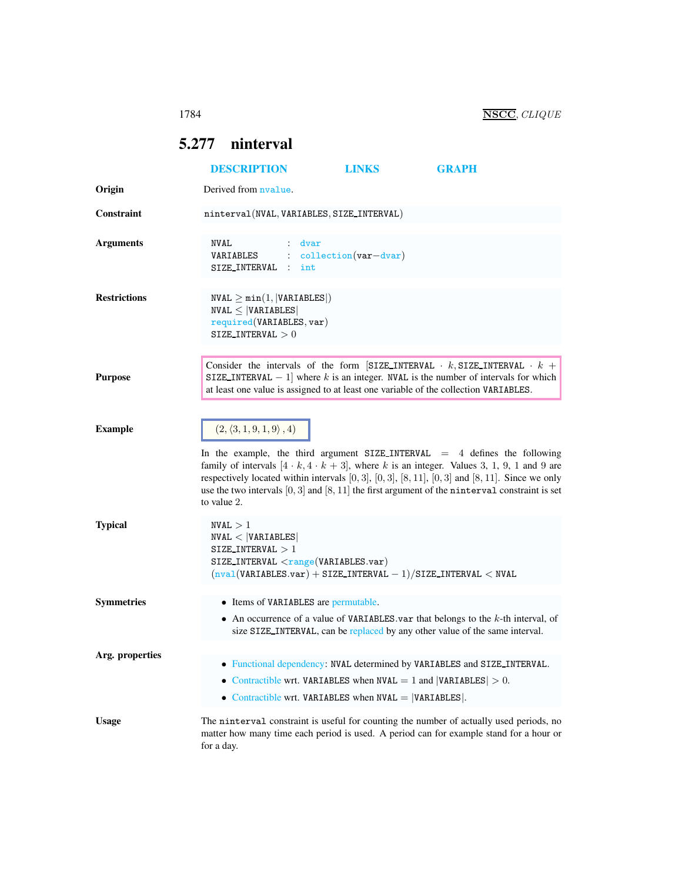## <span id="page-0-0"></span>5.277 ninterval

|                     | <b>DESCRIPTION</b>                                                                                           | <b>LINKS</b>                                                                                                                       | <b>GRAPH</b>                                                                                                                                                                                                                                                                                                                                                                                           |
|---------------------|--------------------------------------------------------------------------------------------------------------|------------------------------------------------------------------------------------------------------------------------------------|--------------------------------------------------------------------------------------------------------------------------------------------------------------------------------------------------------------------------------------------------------------------------------------------------------------------------------------------------------------------------------------------------------|
| Origin              | Derived from nyalue.                                                                                         |                                                                                                                                    |                                                                                                                                                                                                                                                                                                                                                                                                        |
| <b>Constraint</b>   | ninterval(NVAL, VARIABLES, SIZE_INTERVAL)                                                                    |                                                                                                                                    |                                                                                                                                                                                                                                                                                                                                                                                                        |
| <b>Arguments</b>    | NVAL<br>: dvar<br>VARIABLES<br>SIZE_INTERVAL : int                                                           | $: collection(var-dvar)$                                                                                                           |                                                                                                                                                                                                                                                                                                                                                                                                        |
| <b>Restrictions</b> | $NVAL \geq min(1,  VARIABLES )$<br>$NVAL \leq  VARIABLES $<br>required(VARIABLES, var)<br>SIZE_INTERVAL $>0$ |                                                                                                                                    |                                                                                                                                                                                                                                                                                                                                                                                                        |
| <b>Purpose</b>      |                                                                                                              |                                                                                                                                    | Consider the intervals of the form [SIZE_INTERVAL $\cdot k$ , SIZE_INTERVAL $\cdot k$ +<br>SIZE_INTERVAL $-1$ ] where k is an integer. NVAL is the number of intervals for which<br>at least one value is assigned to at least one variable of the collection VARIABLES.                                                                                                                               |
| <b>Example</b>      | $(2, \langle 3, 1, 9, 1, 9 \rangle, 4)$<br>to value 2.                                                       |                                                                                                                                    | In the example, the third argument $SIZE_INTERVAL = 4$ defines the following<br>family of intervals $[4 \cdot k, 4 \cdot k + 3]$ , where k is an integer. Values 3, 1, 9, 1 and 9 are<br>respectively located within intervals $[0,3]$ , $[0,3]$ , $[8,11]$ , $[0,3]$ and $[8,11]$ . Since we only<br>use the two intervals $[0,3]$ and $[8,11]$ the first argument of the ninterval constraint is set |
| <b>Typical</b>      | NVAL > 1<br>NVAL <  VARIABLES <br>SIZE_INTERVAL $>1$<br>$SIZE_INTERVAL \langle range(VARIABLES.var)$         | $(nval(VARIABLES.var) + SIZE_INTERVAL - 1)/SIZE_INTERVAL < NVAL$                                                                   |                                                                                                                                                                                                                                                                                                                                                                                                        |
| <b>Symmetries</b>   | • Items of VARIABLES are permutable.                                                                         |                                                                                                                                    | • An occurrence of a value of VARIABLES var that belongs to the $k$ -th interval, of<br>size SIZE_INTERVAL, can be replaced by any other value of the same interval.                                                                                                                                                                                                                                   |
| Arg. properties     |                                                                                                              | • Contractible wrt. VARIABLES when NVAL $= 1$ and  VARIABLES  $> 0$ .<br>• Contractible wrt. VARIABLES when $NVAL$ = $VARIABLES$ . | • Functional dependency: NVAL determined by VARIABLES and SIZE INTERVAL.                                                                                                                                                                                                                                                                                                                               |
| <b>Usage</b>        | for a day.                                                                                                   |                                                                                                                                    | The ninterval constraint is useful for counting the number of actually used periods, no<br>matter how many time each period is used. A period can for example stand for a hour or                                                                                                                                                                                                                      |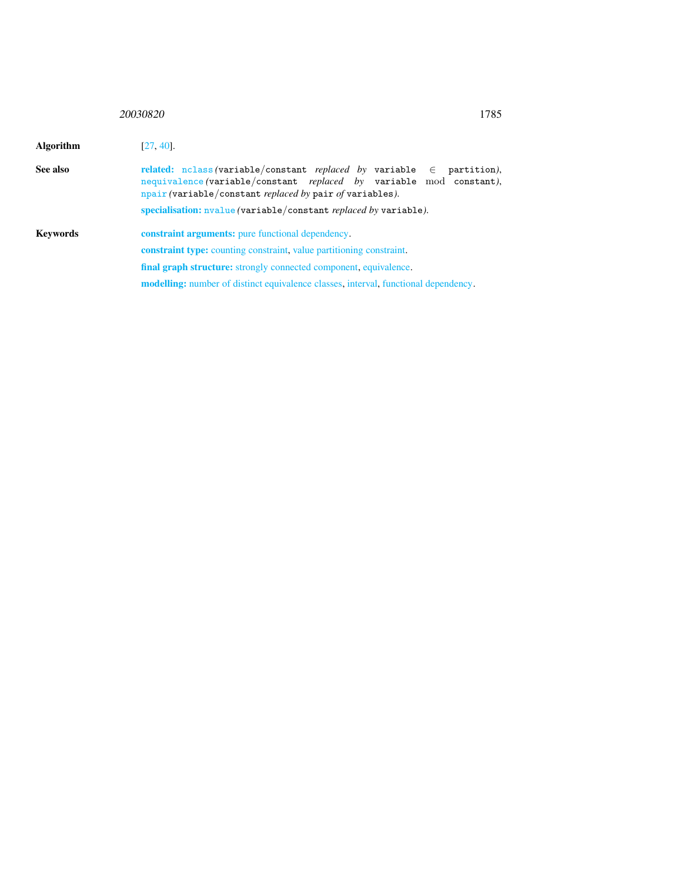## <sup>20030820</sup> 1785

<span id="page-1-0"></span>

| Algorithm | $[27, 40]$ .                                                                                                                                                                                                                         |  |  |  |
|-----------|--------------------------------------------------------------------------------------------------------------------------------------------------------------------------------------------------------------------------------------|--|--|--|
| See also  | related: nclass (variable/constant <i>replaced by</i> variable $\in$ partition),<br>nequivalence (variable/constant replaced by variable mod constant),<br>$n pair (variable/constant$ <i>replaced by</i> pair <i>of</i> variables). |  |  |  |
|           | specialisation: nvalue (variable/constant replaced by variable).                                                                                                                                                                     |  |  |  |
| Kevwords  | <b>constraint arguments:</b> pure functional dependency.                                                                                                                                                                             |  |  |  |
|           | <b>constraint type:</b> counting constraint, value partitioning constraint.                                                                                                                                                          |  |  |  |
|           | final graph structure: strongly connected component, equivalence.                                                                                                                                                                    |  |  |  |
|           | <b>modelling:</b> number of distinct equivalence classes, interval, functional dependency.                                                                                                                                           |  |  |  |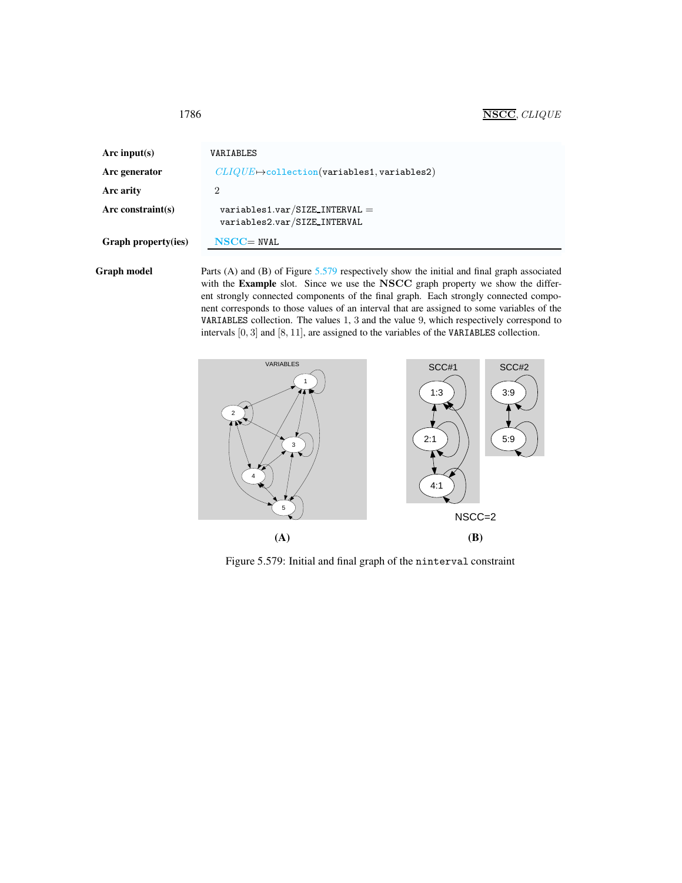| Arc input( $s$ )    | VARIABLES                                                        |
|---------------------|------------------------------------------------------------------|
| Arc generator       | $CLIQUE \rightarrow$ collection(variables1, variables2)          |
| Arc arity           | 2                                                                |
| $Arc$ constraint(s) | $variable s1.var/SIZE\_INTERVAL$<br>variables2.var/SIZE_INTERVAL |
| Graph property(ies) | $NSCC = NVAL$                                                    |

<span id="page-2-0"></span>1786 NSCC, CLIQUE

Graph model Parts (A) and (B) of Figure [5.579](#page-2-1) respectively show the initial and final graph associated with the Example slot. Since we use the NSCC graph property we show the different strongly connected components of the final graph. Each strongly connected component corresponds to those values of an interval that are assigned to some variables of the VARIABLES collection. The values 1, 3 and the value 9, which respectively correspond to intervals [0, 3] and [8, 11], are assigned to the variables of the VARIABLES collection.



<span id="page-2-1"></span>Figure 5.579: Initial and final graph of the ninterval constraint